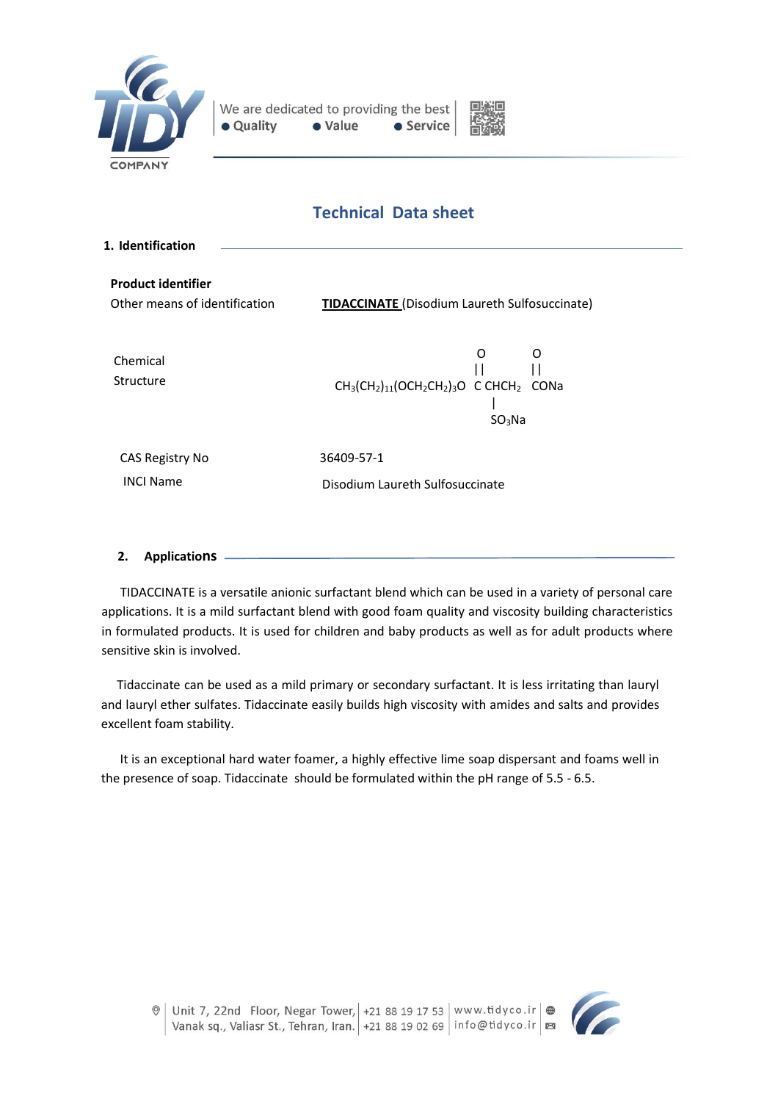



# **Technical Data sheet**

| <b>TIDACCINATE</b> (Disodium Laureth Sulfosuccinate)                                        |
|---------------------------------------------------------------------------------------------|
| O<br>O<br>$CH_3(CH_2)_{11} (OCH_2CH_2)_{3}O$ C CHCH <sub>2</sub> CONa<br>SO <sub>3</sub> Na |
| 36409-57-1<br>Disodium Laureth Sulfosuccinate                                               |
|                                                                                             |

**2. Applications**

TIDACCINATE is a versatile anionic surfactant blend which can be used in a variety of personal care applications. It is a mild surfactant blend with good foam quality and viscosity building characteristics in formulated products. It is used for children and baby products as well as for adult products where sensitive skin is involved.

 Tidaccinate can be used as a mild primary or secondary surfactant. It is less irritating than lauryl and lauryl ether sulfates. Tidaccinate easily builds high viscosity with amides and salts and provides excellent foam stability.

 It is an exceptional hard water foamer, a highly effective lime soap dispersant and foams well in the presence of soap. Tidaccinate should be formulated within the pH range of 5.5 - 6.5.

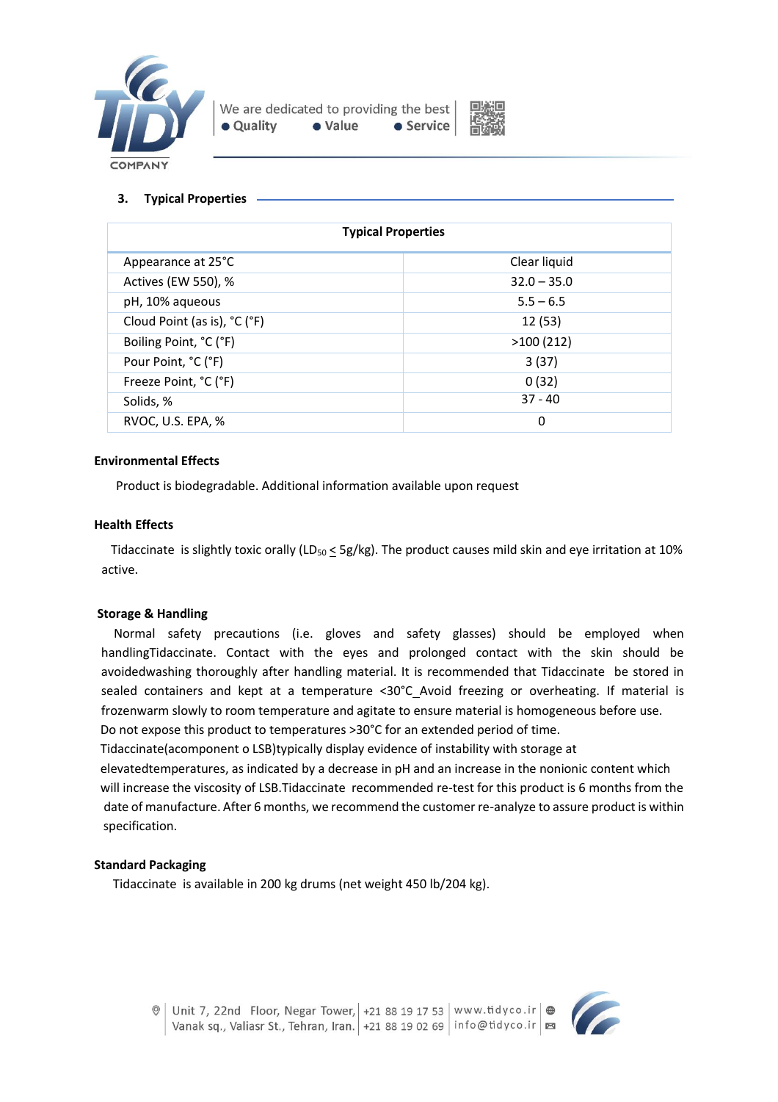



### **3. Typical Properties**

| <b>Typical Properties</b>    |               |  |  |
|------------------------------|---------------|--|--|
| Appearance at 25°C           | Clear liquid  |  |  |
| Actives (EW 550), %          | $32.0 - 35.0$ |  |  |
| pH, 10% aqueous              | $5.5 - 6.5$   |  |  |
| Cloud Point (as is), °C (°F) | 12 (53)       |  |  |
| Boiling Point, °C (°F)       | >100(212)     |  |  |
| Pour Point, °C (°F)          | 3(37)         |  |  |
| Freeze Point, °C (°F)        | 0(32)         |  |  |
| Solids, %                    | $37 - 40$     |  |  |
| RVOC, U.S. EPA, %            | 0             |  |  |

#### **Environmental Effects**

Product is biodegradable. Additional information available upon request

#### **Health Effects**

Tidaccinate is slightly toxic orally (LD<sub>50</sub>  $\leq$  5g/kg). The product causes mild skin and eye irritation at 10% active.

#### **Storage & Handling**

 Normal safety precautions (i.e. gloves and safety glasses) should be employed when handlingTidaccinate. Contact with the eyes and prolonged contact with the skin should be avoidedwashing thoroughly after handling material. It is recommended that Tidaccinate be stored in sealed containers and kept at a temperature <30°C Avoid freezing or overheating. If material is frozenwarm slowly to room temperature and agitate to ensure material is homogeneous before use. Do not expose this product to temperatures >30°C for an extended period of time.

Tidaccinate(acomponent o LSB)typically display evidence of instability with storage at

 elevatedtemperatures, as indicated by a decrease in pH and an increase in the nonionic content which will increase the viscosity of LSB.Tidaccinate recommended re-test for this product is 6 months from the date of manufacture. After 6 months, we recommend the customer re-analyze to assure product is within specification.

#### **Standard Packaging**

Tidaccinate is available in 200 kg drums (net weight 450 lb/204 kg).

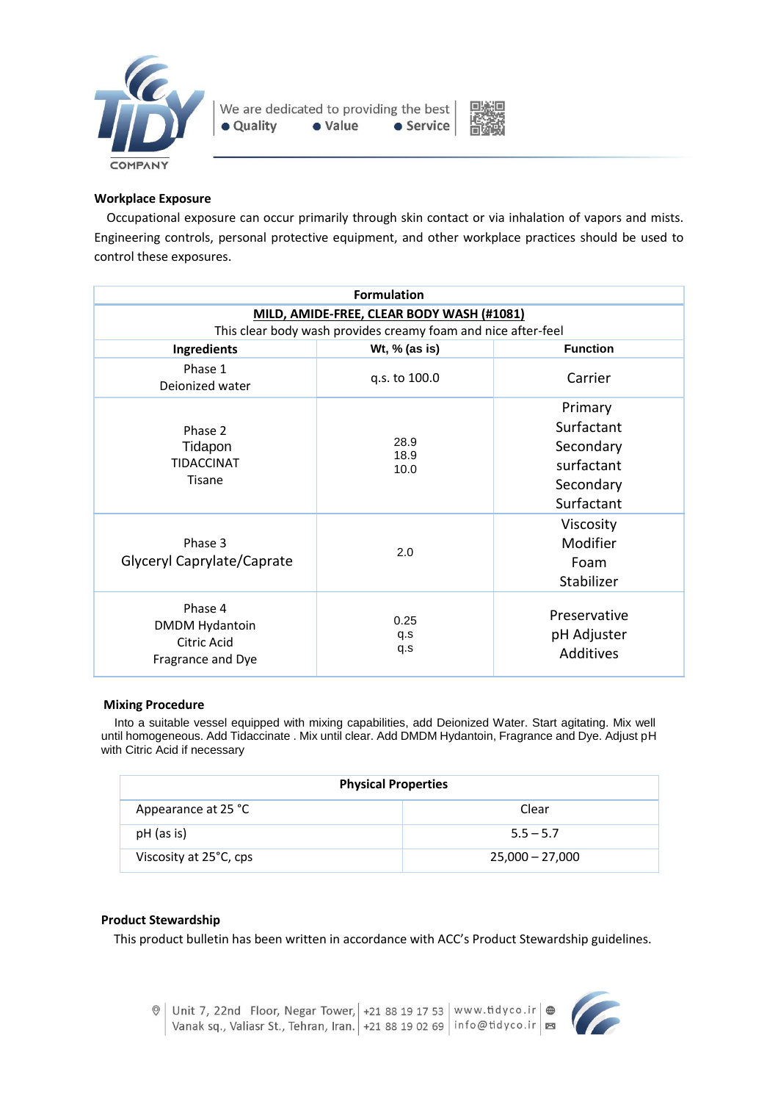



# **Workplace Exposure**

Occupational exposure can occur primarily through skin contact or via inhalation of vapors and mists. Engineering controls, personal protective equipment, and other workplace practices should be used to control these exposures.

| <b>Formulation</b>                                                                                         |                      |                                                                             |  |
|------------------------------------------------------------------------------------------------------------|----------------------|-----------------------------------------------------------------------------|--|
| MILD, AMIDE-FREE, CLEAR BODY WASH (#1081)<br>This clear body wash provides creamy foam and nice after-feel |                      |                                                                             |  |
| Ingredients                                                                                                | Wt, % (as is)        | <b>Function</b>                                                             |  |
| Phase 1<br>Deionized water                                                                                 | q.s. to 100.0        | Carrier                                                                     |  |
| Phase 2<br>Tidapon<br><b>TIDACCINAT</b><br><b>Tisane</b>                                                   | 28.9<br>18.9<br>10.0 | Primary<br>Surfactant<br>Secondary<br>surfactant<br>Secondary<br>Surfactant |  |
| Phase 3<br>Glyceryl Caprylate/Caprate                                                                      | 2.0                  | Viscosity<br>Modifier<br>Foam<br>Stabilizer                                 |  |
| Phase 4<br><b>DMDM Hydantoin</b><br>Citric Acid<br>Fragrance and Dye                                       | 0.25<br>q.s<br>q.s   | Preservative<br>pH Adjuster<br>Additives                                    |  |

#### **Mixing Procedure**

 Into a suitable vessel equipped with mixing capabilities, add Deionized Water. Start agitating. Mix well until homogeneous. Add Tidaccinate . Mix until clear. Add DMDM Hydantoin, Fragrance and Dye. Adjust pH with Citric Acid if necessary

| <b>Physical Properties</b> |                   |  |  |
|----------------------------|-------------------|--|--|
| Appearance at 25 °C        | Clear             |  |  |
| pH (as is)                 | $5.5 - 5.7$       |  |  |
| Viscosity at 25°C, cps     | $25,000 - 27,000$ |  |  |

#### **Product Stewardship**

This product bulletin has been written in accordance with ACC's Product Stewardship guidelines.